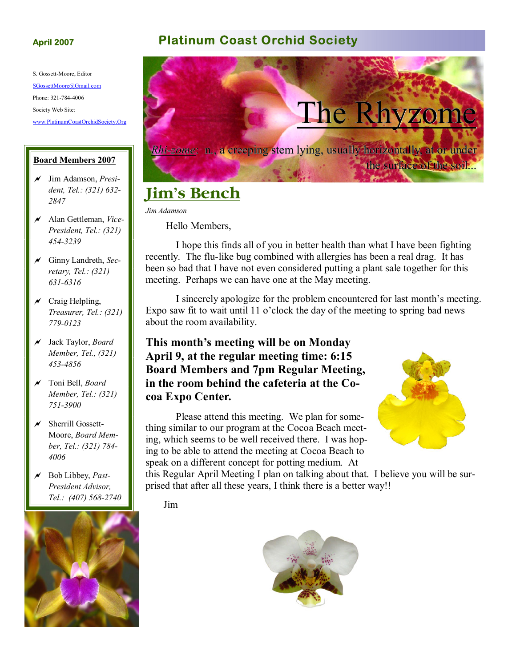S. Gossett-Moore, Editor SGossettMoore@Gmail.com Phone: 321-784-4006 Society Web Site: www.PlatinumCoastOrchidSociety.Org

#### **Board Members 2007**

- a Jim Adamson, *President, Tel.: (321) 632- 2847*
- a Alan Gettleman, *Vice-President, Tel.: (321) 454-3239*
- a Ginny Landreth, *Secretary, Tel.: (321) 631-6316*
- $\chi$  Craig Helpling, *Treasurer, Tel.: (321) 779-0123*
- a Jack Taylor, *Board Member, Tel., (321) 453-4856*
- a Toni Bell, *Board Member, Tel.: (321) 751-3900*
- $\times$  Sherrill Gossett-Moore, *Board Member, Tel.: (321) 784- 4006*
- a Bob Libbey, *Past-President Advisor, Tel.: (407) 568-2740*



#### **April 2007 Platinum Coast Orchid Society**



# **Jim's Bench**

*Jim Adamson* 

Hello Members,

 I hope this finds all of you in better health than what I have been fighting recently. The flu-like bug combined with allergies has been a real drag. It has been so bad that I have not even considered putting a plant sale together for this meeting. Perhaps we can have one at the May meeting.

 I sincerely apologize for the problem encountered for last month's meeting. Expo saw fit to wait until 11 o'clock the day of the meeting to spring bad news about the room availability.

#### **This month's meeting will be on Monday April 9, at the regular meeting time: 6:15 Board Members and 7pm Regular Meeting, in the room behind the cafeteria at the Cocoa Expo Center.**

 Please attend this meeting. We plan for something similar to our program at the Cocoa Beach meeting, which seems to be well received there. I was hoping to be able to attend the meeting at Cocoa Beach to speak on a different concept for potting medium. At



this Regular April Meeting I plan on talking about that. I believe you will be surprised that after all these years, I think there is a better way!!

Jim

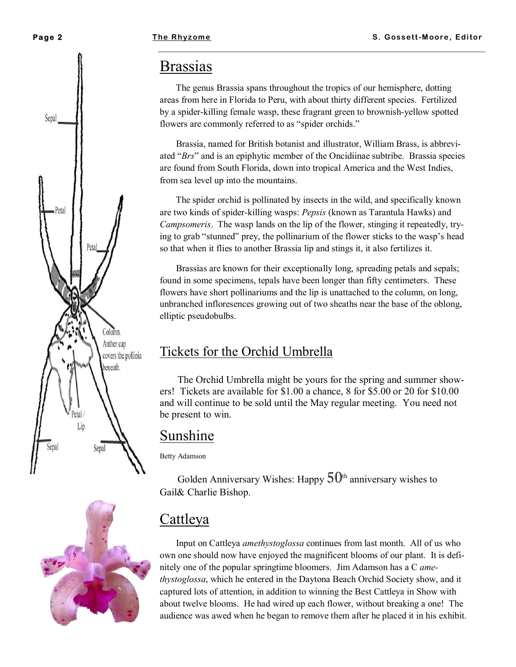Sepal

Petal

#### **Brassias**

 The genus Brassia spans throughout the tropics of our hemisphere, dotting areas from here in Florida to Peru, with about thirty different species. Fertilized by a spider-killing female wasp, these fragrant green to brownish-yellow spotted flowers are commonly referred to as "spider orchids."

 Brassia, named for British botanist and illustrator, William Brass, is abbreviated "*Brs*" and is an epiphytic member of the Oncidiinae subtribe. Brassia species are found from South Florida, down into tropical America and the West Indies, from sea level up into the mountains.

 The spider orchid is pollinated by insects in the wild, and specifically known are two kinds of spider-killing wasps: *Pepsis* (known as Tarantula Hawks) and *Campsomeris*. The wasp lands on the lip of the flower, stinging it repeatedly, trying to grab "stunned" prey, the pollinarium of the flower sticks to the wasp's head so that when it flies to another Brassia lip and stings it, it also fertilizes it.

 Brassias are known for their exceptionally long, spreading petals and sepals; found in some specimens, tepals have been longer than fifty centimeters. These flowers have short pollinariums and the lip is unattached to the column, on long, unbranched infloresences growing out of two sheaths near the base of the oblong, elliptic pseudobulbs.

#### Tickets for the Orchid Umbrella

 The Orchid Umbrella might be yours for the spring and summer showers! Tickets are available for \$1.00 a chance, 8 for \$5.00 or 20 for \$10.00 and will continue to be sold until the May regular meeting. You need not be present to win.

### Sunshine

Betty Adamson

Golden Anniversary Wishes: Happy  $50<sup>th</sup>$  anniversary wishes to Gail& Charlie Bishop.

#### Cattleya

 Input on Cattleya *amethystoglossa* continues from last month. All of us who own one should now have enjoyed the magnificent blooms of our plant. It is definitely one of the popular springtime bloomers. Jim Adamson has a C *amethystoglossa*, which he entered in the Daytona Beach Orchid Society show, and it captured lots of attention, in addition to winning the Best Cattleya in Show with about twelve blooms. He had wired up each flower, without breaking a one! The audience was awed when he began to remove them after he placed it in his exhibit.



Sepal

Petal Lip

Sepal

Column. Anther cap covers the pollinia beneath.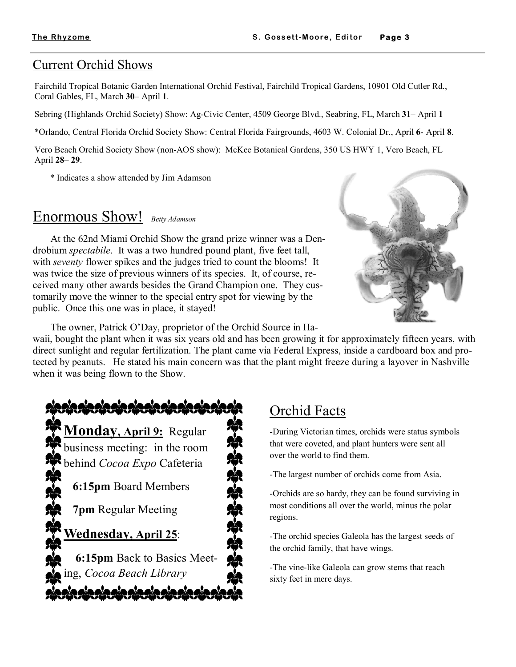#### Current Orchid Shows

Fairchild Tropical Botanic Garden International Orchid Festival, Fairchild Tropical Gardens, 10901 Old Cutler Rd., Coral Gables, FL, March **30**– April **1**.

Sebring (Highlands Orchid Society) Show: Ag-Civic Center, 4509 George Blvd., Seabring, FL, March **31**– April **1**

\*Orlando, Central Florida Orchid Society Show: Central Florida Fairgrounds, 4603 W. Colonial Dr., April **6**- April **8**.

Vero Beach Orchid Society Show (non-AOS show): McKee Botanical Gardens, 350 US HWY 1, Vero Beach, FL April **28**– **29**.

\* Indicates a show attended by Jim Adamson

## Enormous Show! *Betty Adamson*

 At the 62nd Miami Orchid Show the grand prize winner was a Dendrobium *spectabile*. It was a two hundred pound plant, five feet tall, with *seventy* flower spikes and the judges tried to count the blooms! It was twice the size of previous winners of its species. It, of course, received many other awards besides the Grand Champion one. They customarily move the winner to the special entry spot for viewing by the public. Once this one was in place, it stayed!



The owner, Patrick O'Day, proprietor of the Orchid Source in Ha-

waii, bought the plant when it was six years old and has been growing it for approximately fifteen years, with direct sunlight and regular fertilization. The plant came via Federal Express, inside a cardboard box and protected by peanuts. He stated his main concern was that the plant might freeze during a layover in Nashville when it was being flown to the Show.



# Orchid Facts

-During Victorian times, orchids were status symbols that were coveted, and plant hunters were sent all over the world to find them.

-The largest number of orchids come from Asia.

-Orchids are so hardy, they can be found surviving in most conditions all over the world, minus the polar regions.

-The orchid species Galeola has the largest seeds of the orchid family, that have wings.

-The vine-like Galeola can grow stems that reach sixty feet in mere days.